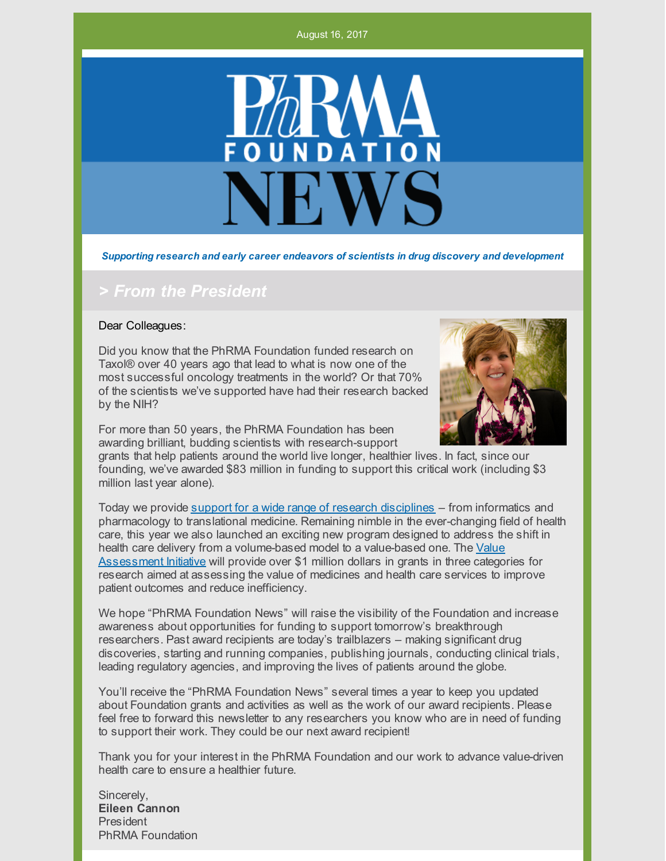August 16, 2017



*Supporting research and early career endeavors of scientists in drug discovery and development*

### *> From the President*

### Dear Colleagues:

Did you know that the PhRMA Foundation funded research on Taxol® over 40 years ago that lead to what is now one of the most successful oncology treatments in the world? Or that 70% of the scientists we've supported have had their research backed by the NIH?



For more than 50 years, the PhRMA Foundation has been awarding brilliant, budding scientists with research-support

grants that help patients around the world live longer, healthier lives. In fact, since our founding, we've awarded \$83 million in funding to support this critical work (including \$3 million last year alone).

Today we provide support for a wide range of research [disciplines](http://www.phrmafoundation.org/2018-awards/) – from informatics and pharmacology to translational medicine. Remaining nimble in the ever-changing field of health care, this year we also launched an exciting new program designed to address the shift in health care delivery from a [volume-based](http://www.phrmafoundation.org/2018-awards/value-assessment-initiative/) model to a value-based one. The Value Assessment Initiative will provide over \$1 million dollars in grants in three categories for research aimed at assessing the value of medicines and health care services to improve patient outcomes and reduce inefficiency.

We hope "PhRMA Foundation News" will raise the visibility of the Foundation and increase awareness about opportunities for funding to support tomorrow's breakthrough researchers. Past award recipients are today's trailblazers – making significant drug discoveries, starting and running companies, publishing journals, conducting clinical trials, leading regulatory agencies, and improving the lives of patients around the globe.

You'll receive the "PhRMA Foundation News" several times a year to keep you updated about Foundation grants and activities as well as the work of our award recipients. Please feel free to forward this newsletter to any researchers you know who are in need of funding to support their work. They could be our next award recipient!

Thank you for your interest in the PhRMA Foundation and our work to advance value-driven health care to ensure a healthier future.

Sincerely, **Eileen Cannon** President PhRMA Foundation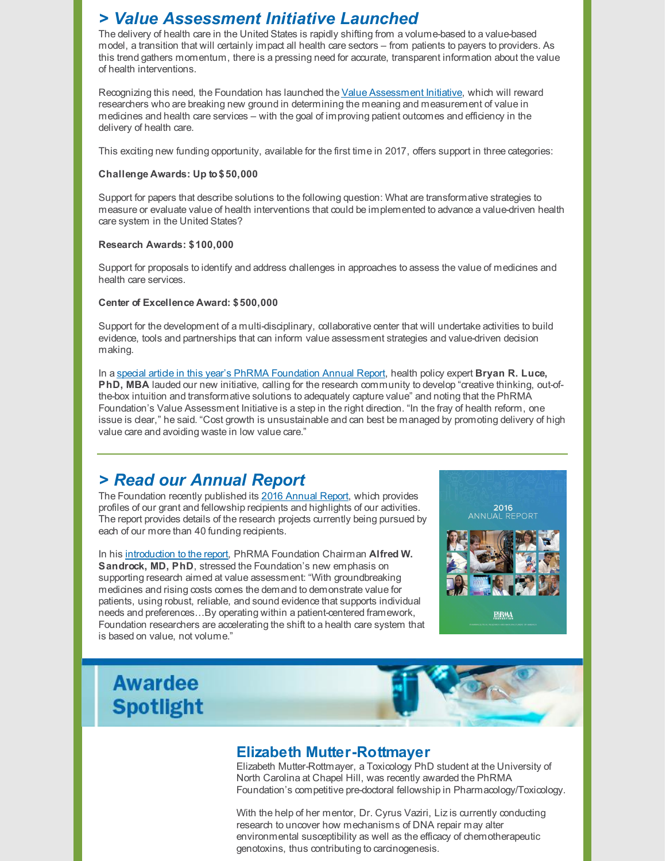### *> Value Assessment Initiative Launched*

The delivery of health care in the United States is rapidly shifting from a volume-based to a value-based model, a transition that will certainly impact all health care sectors – from patients to payers to providers. As this trend gathers momentum, there is a pressing need for accurate, transparent information about the value of health interventions.

Recognizing this need, the Foundation has launched the Value [Assessment](http://www.phrmafoundation.org/2018-awards/value-assessment-initiative/) Initiative, which will reward researchers who are breaking new ground in determining the meaning and measurement of value in medicines and health care services – with the goal of improving patient outcomes and efficiency in the delivery of health care.

This exciting new funding opportunity, available for the first time in 2017, offers support in three categories:

### **Challenge Awards: Up to\$50,000**

Support for papers that describe solutions to the following question: What are transformative strategies to measure or evaluate value of health interventions that could be implemented to advance a value-driven health care system in the United States?

### **Research Awards: \$100,000**

Support for proposals to identify and address challenges in approaches to assess the value of medicines and health care services.

### **Center of Excellence Award: \$500,000**

Support for the development of a multi-disciplinary, collaborative center that will undertake activities to build evidence, tools and partnerships that can inform value assessment strategies and value-driven decision making.

In a special article in this year's PhRMA [Foundation](http://www.phrmafoundation.org/wp-content/uploads/2017/08/PhRMA_AR_2016_LR_LUCE.pdf) Annual Report, health policy expert **Bryan R. Luce, PhD, MBA** lauded our new initiative, calling for the research community to develop "creative thinking, out-ofthe-box intuition and transformative solutions to adequately capture value" and noting that the PhRMA Foundation's Value Assessment Initiative is a step in the right direction. "In the fray of health reform, one issue is clear," he said. "Cost growth is unsustainable and can best be managed by promoting delivery of high value care and avoiding waste in low value care."

# *> Read our Annual Report*

The Foundation recently published its 2016 [Annual](http://www.phrmafoundation.org/wp-content/uploads/2017/07/PhRMA_AR_2016_LR_FINAL.pdf) Report, which provides profiles of our grant and fellowship recipients and highlights of our activities. The report provides details of the research projects currently being pursued by each of our more than 40 funding recipients.

In his [introduction](http://www.phrmafoundation.org/wp-content/uploads/2017/08/PhRMA_AR_2016_LR_SANDROCK.pdf) to the report, PhRMA Foundation Chairman **Alfred W. Sandrock, MD, PhD**, stressed the Foundation's new emphasis on supporting research aimed at value assessment: "With groundbreaking medicines and rising costs comes the demand to demonstrate value for patients, using robust, reliable, and sound evidence that supports individual needs and preferences…By operating within a patient-centered framework, Foundation researchers are accelerating the shift to a health care system that is based on value, not volume."



# **Awardee Spotlight**

### **Elizabeth Mutter-Rottmayer**

Elizabeth Mutter-Rottmayer, a Toxicology PhD student at the University of North Carolina at Chapel Hill, was recently awarded the PhRMA Foundation's competitive pre-doctoral fellowship in Pharmacology/Toxicology.

With the help of her mentor, Dr. Cyrus Vaziri, Liz is currently conducting research to uncover how mechanisms of DNA repair may alter environmental susceptibility as well as the efficacy of chemotherapeutic genotoxins, thus contributing to carcinogenesis.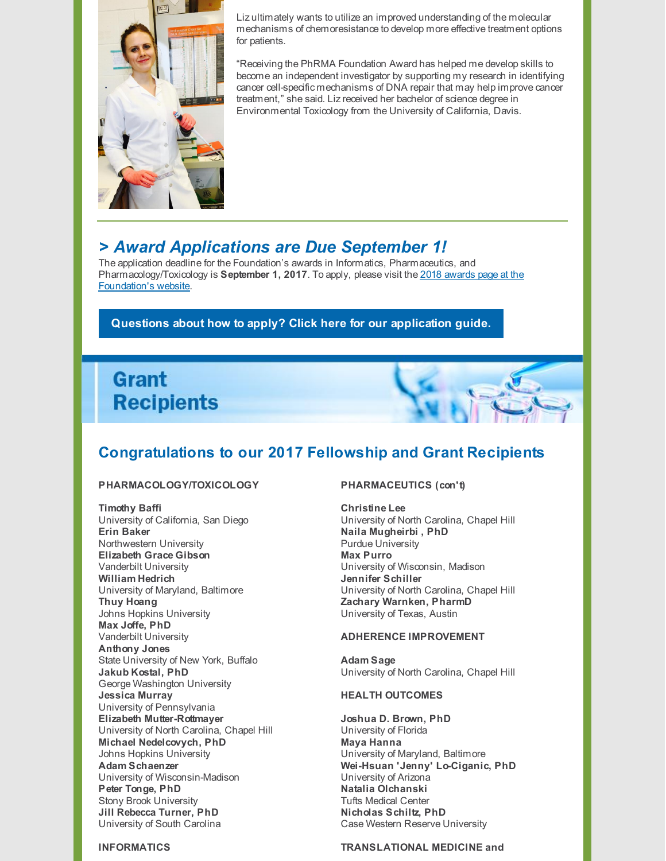

Liz ultimately wants to utilize an improved understanding of the molecular mechanisms of chemoresistance to develop more effective treatment options for patients.

"Receiving the PhRMA Foundation Award has helped me develop skills to become an independent investigator by supporting my research in identifying cancer cell-specific mechanisms of DNA repair that may help improve cancer treatment," she said. Liz received her bachelor of science degree in Environmental Toxicology from the University of California, Davis.

# *> Award Applications are Due September 1!*

The application deadline for the Foundation's awards in Informatics, Pharmaceutics, and [Pharmacology/Toxicology](http://www.phrmafoundation.org/2018-awards/) is **September 1, 2017**. To apply, please visit the 2018 awards page at the Foundation's website.

### **Questions about how to apply? Click here for our [application](https://grant.grantstream.ca/PhRMA/gsPageGuide.php?lang=en&Page=0#Page0) guide.**

# Grant **Recipients**

# **Congratulations to our 2017 Fellowship and Grant Recipients**

### **PHARMACOLOGY/TOXICOLOGY**

### **Timothy Baffi**

University of California, San Diego **Erin Baker** Northwestern University **Elizabeth Grace Gibson** Vanderbilt University **William Hedrich** University of Maryland, Baltimore **Thuy Hoang** Johns Hopkins University **Max Joffe, PhD** Vanderbilt University **Anthony Jones** State University of New York, Buffalo **Jakub Kostal, PhD** George Washington University **Jessica Murray** University of Pennsylvania **Elizabeth Mutter-Rottmayer** University of North Carolina, Chapel Hill **Michael Nedelcovych, PhD** Johns Hopkins University **Adam Schaenzer** University of Wisconsin-Madison **Peter Tonge, PhD** Stony Brook University **Jill Rebecca Turner, PhD** University of South Carolina

### **PHARMACEUTICS (con't)**

**Christine Lee** University of North Carolina, Chapel Hill **Naila Mugheirbi , PhD** Purdue University **Max Purro** University of Wisconsin, Madison **Jennifer Schiller** University of North Carolina, Chapel Hill **Zachary Warnken, PharmD** University of Texas, Austin

### **ADHERENCE IMPROVEMENT**

**Adam Sage** University of North Carolina, Chapel Hill

### **HEALTH OUTCOMES**

**Joshua D. Brown, PhD** University of Florida **Maya Hanna** University of Maryland, Baltimore **Wei-Hsuan 'Jenny' Lo-Ciganic, PhD** University of Arizona **Natalia Olchanski** Tufts Medical Center **Nicholas Schiltz, PhD** Case Western Reserve University

### **INFORMATICS**

#### **TRANSLATIONAL MEDICINE and**